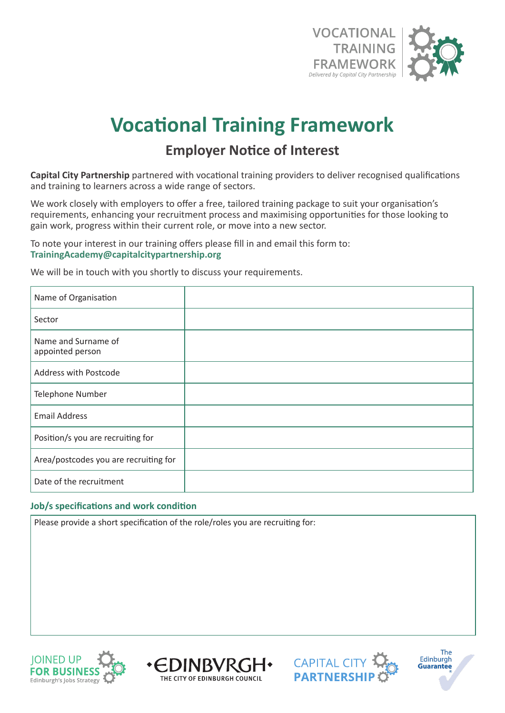

## **Vocational Training Framework**

## **Employer Notice of Interest**

**Capital City Partnership** partnered with vocational training providers to deliver recognised qualifications and training to learners across a wide range of sectors.

We work closely with employers to offer a free, tailored training package to suit your organisation's requirements, enhancing your recruitment process and maximising opportunities for those looking to gain work, progress within their current role, or move into a new sector.

To note your interest in our training offers please fill in and email this form to: **TrainingAcademy@capitalcitypartnership.org**

We will be in touch with you shortly to discuss your requirements.

| Name of Organisation                    |  |
|-----------------------------------------|--|
| Sector                                  |  |
| Name and Surname of<br>appointed person |  |
| Address with Postcode                   |  |
| Telephone Number                        |  |
| <b>Email Address</b>                    |  |
| Position/s you are recruiting for       |  |
| Area/postcodes you are recruiting for   |  |
| Date of the recruitment                 |  |

## **Job/s specifications and work condition**

Please provide a short specification of the role/roles you are recruiting for: